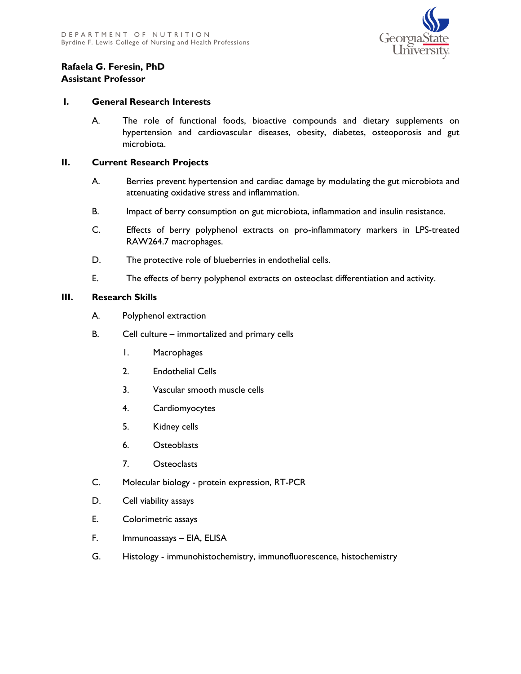

## **Rafaela G. Feresin, PhD Assistant Professor**

## **I. General Research Interests**

A. The role of functional foods, bioactive compounds and dietary supplements on hypertension and cardiovascular diseases, obesity, diabetes, osteoporosis and gut microbiota.

## **II. Current Research Projects**

- A. Berries prevent hypertension and cardiac damage by modulating the gut microbiota and attenuating oxidative stress and inflammation.
- B. Impact of berry consumption on gut microbiota, inflammation and insulin resistance.
- C. Effects of berry polyphenol extracts on pro-inflammatory markers in LPS-treated RAW264.7 macrophages.
- D. The protective role of blueberries in endothelial cells.
- E. The effects of berry polyphenol extracts on osteoclast differentiation and activity.

## **III. Research Skills**

- A. Polyphenol extraction
- B. Cell culture immortalized and primary cells
	- 1. Macrophages
	- 2. Endothelial Cells
	- 3. Vascular smooth muscle cells
	- 4. Cardiomyocytes
	- 5. Kidney cells
	- 6. Osteoblasts
	- 7. Osteoclasts
- C. Molecular biology protein expression, RT-PCR
- D. Cell viability assays
- E. Colorimetric assays
- F. Immunoassays EIA, ELISA
- G. Histology immunohistochemistry, immunofluorescence, histochemistry